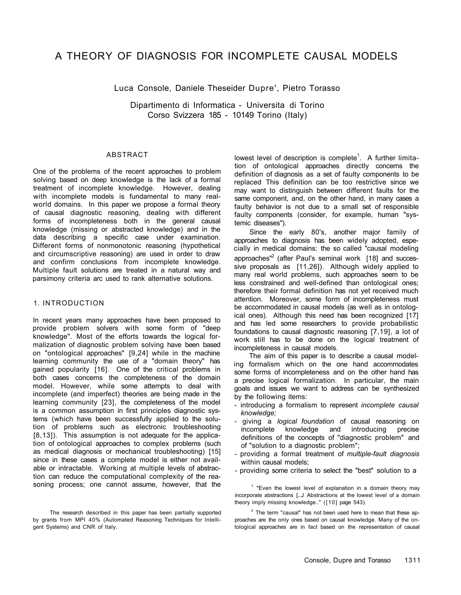# A THEORY OF DIAGNOSIS FOR INCOMPLETE CAUSAL MODELS

Luca Console, Daniele Theseider Dupre', Pietro Torasso

Dipartimento di Informatica - Universita di Torino Corso Svizzera 185 - 10149 Torino (Italy)

#### ABSTRACT

One of the problems of the recent approaches to problem solving based on deep knowledge is the lack of a formal treatment of incomplete knowledge. However, dealing with incomplete models is fundamental to many realworld domains. In this paper we propose a formal theory of causal diagnostic reasoning, dealing with different forms of incompleteness both in the general causal knowledge (missing or abstracted knowledge) and in the data describing a specific case under examination. Different forms of nonmonotonic reasoning (hypothetical and circumscriptive reasoning) are used in order to draw and confirm conclusions from incomplete knowledge. Multiple fault solutions are treated in a natural way and parsimony criteria arc used to rank alternative solutions.

# 1. INTRODUCTION

In recent years many approaches have been proposed to provide problem solvers with some form of "deep knowledge". Most of the efforts towards the logical formalization of diagnostic problem solving have been based on "ontological approaches" [9,24] while in the machine learning community the use of a "domain theory" has gained popularity [16]. One of the critical problems in both cases concerns the completeness of the domain model. However, while some attempts to deal with incomplete (and imperfect) theories are being made in the learning community [23], the completeness of the model is a common assumption in first principles diagnostic systems (which have been successfully applied to the solution of problems such as electronic troubleshooting [8,13]). This assumption is not adequate for the application of ontological approaches to complex problems (such as medical diagnosis or mechanical troubleshooting) [15] since in these cases a complete model is either not available or intractable. Working at multiple levels of abstraction can reduce the computational complexity of the reasoning process; one cannot assume, however, that the

lowest level of description is complete<sup>1</sup>. A further limitation of ontological approaches directly concerns the definition of diagnosis as a set of faulty components to be replaced This definition can be too restrictive since we may want to distinguish between different faults for the same component, and, on the other hand, in many cases a faulty behavior is not due to a small set of responsible faulty components (consider, for example, human "systemic diseases"). Since the early 80's, another major family of approaches to diagnosis has been widely adopted, especially in medical domains: the so called "causal modeling approaches"<sup>2</sup> (after Paul's seminal work [18] and successive proposals as [11,26]). Although widely applied to many real world problems, such approaches seem to be less constrained and well-defined than ontological ones; therefore their formal definition has not yet received much attention. Moreover, some form of incompleteness must be accommodated in causal models (as well as in ontological ones). Although this need has been recognized [17] and has led some researchers to provide probabilistic foundations to causal diagnostic reasoning [7,19], a lot of work still has to be done on the logical treatment of incompleteness in causal models. The aim of this paper is to describe a causal modeling formalism which on the one hand accommodates some forms of incompleteness and on the other hand has a precise logical formalization. In particular, the main goals and issues we want to address can be synthesized by the following items:

The research described in this paper has been partially supported by grants from MPI 40% (Automated Reasoning Techniques for Intelligent Systems) and CNR of Italy.

 $1$  "Even the lowest level of explanation in a domain theory may incorporate abstractions [...J Abstractions at the lowest level of a domain theory imply missing knowledge.." ([10] page 543).

 $2$  The term "causal" has not been used here to mean that these approaches are the only ones based on causal knowledge. Many of the ontological approaches are in fact based on the representation of causal

- introducing a formalism to represent *incomplete causal knowledge;*
- giving a *logical foundation* of causal reasoning on incomplete knowledge and introducing precise definitions of the concepts of "diagnostic problem" and of "solution to a diagnostic problem";
- providing a formal treatment of *multiple-fault diagnosis*  within causal models;

- providing some criteria to select the "best" solution to a

Console, Dupre and Torasso 1311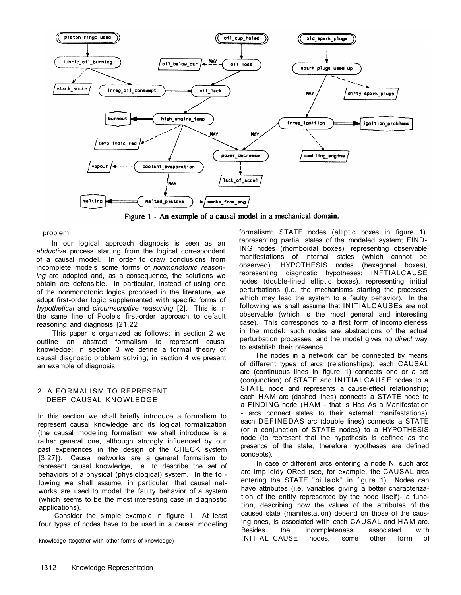

Figure 1 - An example of a causal model in a mechanical domain.

problem.

In our logical approach diagnosis is seen as an *abductive* process starting from the logical correspondent of a causal model. In order to draw conclusions from incomplete models some forms of *nonmonotonic reasoning* are adopted and, as a consequence, the solutions we obtain are defeasible. In particular, instead of using one of the nonmonotonic logics proposed in the literature, we adopt first-order logic supplemented with specific forms of *hypothetical* and *circumscriptive reasoning* [2]. This is in the same line of Poole's first-order approach to default reasoning and diagnosis [21,22].

This paper is organized as follows: in section 2 we outline an abstract formalism to represent causal knowledge; in section 3 we define a formal theory of causal diagnostic problem solving; in section 4 we present an example of diagnosis.

# 2. A FORMALISM TO REPRESENT DEEP CAUSAL KNOWLEDGE

In this section we shall briefly introduce a formalism to represent causal knowledge and its logical formalization (the causal modeling formalism we shall introduce is a rather general one, although strongly influenced by our past experiences in the design of the CHECK system [3,27]). Causal networks are a general formalism to represent causal knowledge, i.e. to describe the set of behaviors of a physical (physiological) system. In the following we shall assume, in particular, that causal networks are used to model the faulty behavior of a system (which seems to be the most interesting case in diagnostic applications).

Consider the simple example in figure 1. At least four types of nodes have to be used in a causal modeling

knowledge (together with other forms of knowledge)

formalism: STATE nodes (elliptic boxes in figure 1), representing partial states of the modeled system; FIND-ING nodes (rhomboidal boxes), representing observable manifestations of internal states (which cannot be observed); HYPOTHESIS nodes (hexagonal boxes), representing diagnostic hypotheses; INFTIALCAUSE nodes (double-lined elliptic boxes), representing initial perturbations (i.e. the mechanisms starting the processes which may lead the system to a faulty behavior). In the following we shall assume that INITIALCAUSEs are not observable (which is the most general and interesting case). This corresponds to a first form of incompleteness in the model: such nodes are abstractions of the actual perturbation processes, and the model gives no *direct* way to establish their presence.

The nodes in a network can be connected by means of different types of arcs (relationships): each CAUSAL arc (continuous lines in figure 1) connects one or a set (conjunction) of STATE and INITIALCAUSE nodes to a STATE node and represents a cause-effect relationship; each HAM arc (dashed lines) connects a STATE node to a FINDING node (HAM - that is Has As a Manifestation - arcs connect states to their external manifestations); each DEFINEDAS arc (double lines) connects a STATE (or a conjunction of STATE nodes) to a HYPOTHESIS node (to represent that the hypothesis is defined as the presence of the state, therefore hypotheses are defined

concepts).

In case of different arcs entering a node N, such arcs are implicidy ORed (see, for example, the CAUSAL arcs entering the STATE "oillack" in figure 1). Nodes can have attributes (i.e. variables giving a better characterization of the entity represented by the node itself)- a function, describing how the values of the attributes of the caused state (manifestation) depend on those of the causing ones, is associated with each CAUSAL and HAM arc. Besides the incompleteness associated with INITIAL CAUSE nodes, some other form of

1312 Knowledge Representation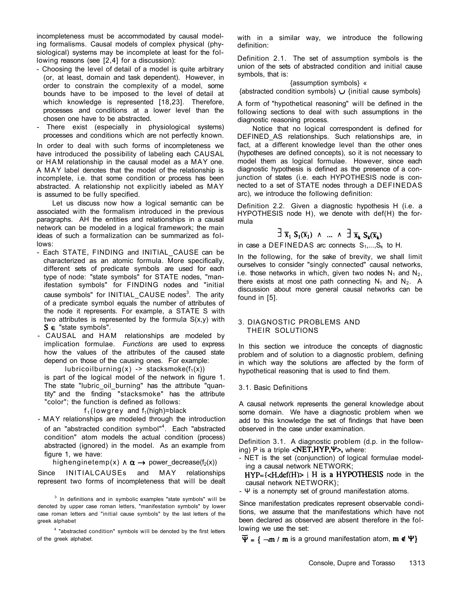incompleteness must be accommodated by causal modeling formalisms. Causal models of complex physical (physiological) systems may be incomplete at least for the following reasons (see [2,4] for a discussion):

- Choosing the level of detail of a model is quite arbitrary (or, at least, domain and task dependent). However, in order to constrain the complexity of a model, some bounds have to be imposed to the level of detail at which knowledge is represented [18,23]. Therefore, processes and conditions at a lower level than the chosen one have to be abstracted.
- There exist (especially in physiological systems) processes and conditions which are not perfectly known.

In order to deal with such forms of incompleteness we have introduced the possibility of labeling each CAUSAL or HAM relationship in the causal model as a MAY one. A MAY label denotes that the model of the relationship is incomplete, i.e. that some condition or process has been abstracted. A relationship not explicitly iabeled as MAY is assumed to be fully specified.

lubricoilburning(x) -> stacksmoke( $f_1(x)$ ) is part of the logical model of the network in figure 1. The state "lubric\_oil\_burning" has the attribute "quantity" and the finding "stacksmoke" has the attribute "color"; the function is defined as follows:

# $f_1$ (lowgrey and  $f_1$ (high)=black

Let us discuss now how a logical semantic can be associated with the formalism introduced in the previous paragraphs. AH the entities and relationships in a causal network can be modeled in a logical framework; the main ideas of such a formalization can be summarized as follows:

 $3$  In definitions and in symbolic examples "state symbols" will be denoted by upper case roman letters, "manifestation symbols" by lower case roman letters and "initial cause symbols" by the last letters of the greek alphabet

<sup>4</sup> "abstracted condition" symbols will be denoted by the first letters of the greek alphabet.

with in a similar way, we introduce the following definition:

- Each STATE, FINDING and INITIAL\_CAUSE can be characterized as an atomic formula. More specifically, different sets of predicate symbols are used for each type of node: "state symbols" for STATE nodes, "manifestation symbols" for FINDING nodes and "initial cause symbols" for INITIAL\_CAUSE nodes<sup>3</sup>. The arity of a predicate symbol equals the number of attributes of the node it represents. For example, a STATE S with two attributes is represented by the formula S(x,y) with  $S \in$  "state symbols".
- CAUSAL and HAM relationships are modeled by implication formulae. *Functions* are used to express how the values of the attributes of the caused state depend on those of the causing ones. For example:

Definition 3.1. A diagnostic problem (d.p. in the following) P is a triple  $\langle \text{NET,HYP}, \Psi \rangle$ , where:

- MAY relationships are modeled through the introduction of an "abstracted condition symbol"<sup>4</sup>. Each "abstracted condition" atom models the actual condition (process) abstracted (ignored) in the model. As an example from figure 1, we have: highenginetemp(x)  $\wedge \alpha \rightarrow$  power decrease(f<sub>2</sub>(x)) Since INITIALCAUSEs and MAY relationships represent two forms of incompleteness that will be dealt

$$
\exists \overline{x}_1 S_1(\overline{x}_1) \land \dots \land \exists \overline{x}_k S_k(\overline{x}_k)
$$

in case a DEFINEDAS arc connects  $S_1,...,S_k$  to H.

Definition 2.1. The set of assumption symbols is the union of the sets of abstracted condition and initial cause symbols, that is:

{assumption symbols} «

{abstracted condition symbols}  $\cup$  {initial cause symbols}

A form of "hypothetical reasoning" will be defined in the following sections to deal with such assumptions in the diagnostic reasoning process.

Notice that no logical correspondent is defined for DEFINED AS relationships. Such relationships are, in fact, at a different knowledge level than the other ones (hypotheses are defined concepts), so it is not necessary to model them as logical formulae. However, since each diagnostic hypothesis is defined as the presence of a conjunction of states (i.e. each HYPOTHESIS node is connected to a set of STATE nodes through a DEFINEDAS arc), we introduce the following definition:

Definition 2.2. Given a diagnostic hypothesis H (i.e. a HYPOTHESIS node H), we denote with def(H) the formula

In the following, for the sake of brevity, we shall limit ourselves to consider "singly connected" causal networks, i.e. those networks in which, given two nodes  $N_1$  and  $N_2$ , there exists at most one path connecting  $N_1$  and  $N_2$ . A discussion about more general causal networks can be found in [5].

# 3. DIAGNOSTIC PROBLEMS AND THEIR SOLUTIONS

In this section we introduce the concepts of diagnostic problem and of solution to a diagnostic problem, defining in which way the solutions are affected by the form of hypothetical reasoning that is used to find them.

# 3.1. Basic Definitions

A causal network represents the general knowledge about some domain. We have a diagnostic problem when we add to this knowledge the set of findings that have been observed in the case under examination.

- 
- NET is the set (conjunction) of logical formulae modeling a causal network NETWORK;
	- $HYP=\langle \langle H, def(H) \rangle | H$  is a HYPOTHESIS node in the causal network NETWORK};
- Ψ is a nonempty set of ground manifestation atoms.

Since manifestation predicates represent observable conditions, we assume that the manifestations which have not been declared as observed are absent therefore in the following we use the set:

 $\overline{\Psi} = \{ -m / m$  is a ground manifestation atom,  $m \notin \Psi \}$ 

# Console, Dupre and Torasso 1313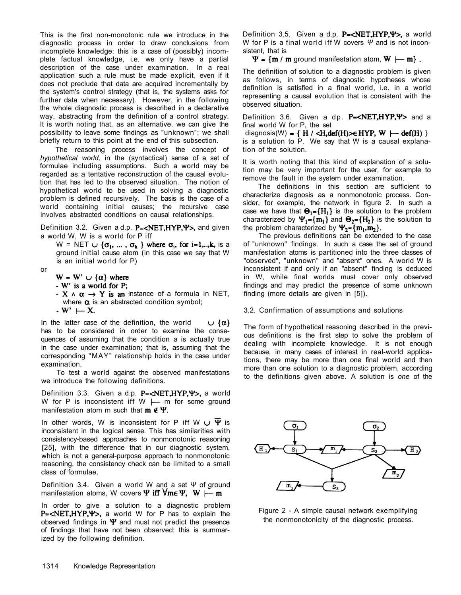This is the first non-monotonic rule we introduce in the diagnostic process in order to draw conclusions from incomplete knowledge: this is a case of (possibly) incomplete factual knowledge, i.e. we only have a partial description of the case under examination. In a real application such a rule must be made explicit, even if it does not preclude that data are acquired incrementally by the system's control strategy (that is, the systems asks for further data when necessary). However, in the following the whole diagnostic process is described in a declarative way, abstracting from the definition of a control strategy. It is worth noting that, as an alternative, we can give the possibility to leave some findings as "unknown"; we shall briefly return to this point at the end of this subsection.

Definition 3.2. Given a d.p.  $P = \langle NET, HYP, Y \rangle$ , and given a world W, W is a world for P iff

 $W = NET \cup {\sigma_1, ..., \sigma_k}$  where  $\sigma_i$ , for i=1,..,k, is a ground initial cause atom (in this case we say that W is an initial world for P)

In the latter case of the definition, the world  $\cup \{\alpha\}$ has to be considered in order to examine the consequences of assuming that the condition a is actually true in the case under examination; that is, assuming that the corresponding "MAY" relationship holds in the case under examination.

The reasoning process involves the concept of *hypothetical world,* in the (syntactical) sense of a set of formulae including assumptions. Such a world may be regarded as a tentative reconstruction of the causal evolution that has led to the observed situation. The notion of hypothetical world to be used in solving a diagnostic problem is defined recursively. The basis is the case of a world containing initial causes; the recursive case involves abstracted conditions on causal relationships.

In other words, W is inconsistent for P iff W  $\cup$  Y is inconsistent in the logical sense. This has similarities with consistency-based approaches to nonmonotonic reasoning [25], with the difference that in our diagnostic system, which is not a general-purpose approach to nonmonotonic reasoning, the consistency check can be limited to a small class of formulae.

Definition 3.4. Given a world W and a set Ψ of ground manifestation atoms, W covers  $\Psi$  iff  $\forall m \in \Psi$ ,  $W \models m$ 

the problem characterized by  $\Psi_2 = \{m_1, m_2\}$ .

Definition 3.5. Given a d.p.  $P = \langle NET, HYP, \Psi \rangle$ , a world W for P is a final world iff W covers *Ψ* and is not inconsistent, that is

 $\Psi = \{m / m \text{ ground manifestation atom}, W \models m\}$ .

or

- $W = W' \cup {\alpha}$  where
- $-W'$  is a world for P;
- $\cdot$  X  $\wedge$   $\alpha$   $\rightarrow$  Y is an instance of a formula in NET, where  $\alpha$  is an abstracted condition symbol;
- $-W' \vdash X$ .

Definition 3.6. Given a dp.  $P = \langle NET, HYP, Y \rangle$  and a final world W for P, the set diagnosis(W) = {  $H / \langle H, \text{def}(H) \rangle \in HYP$ , W  $\rightarrow$  def(H) } is a solution to P. We say that W is a causal explanation of the solution.

The definitions in this section are sufficient to characterize diagnosis as a nonmonotonic process. Consider, for example, the network in figure 2. In such a case we have that  $\Theta_1 = \{H_1\}$  is the solution to the problem characterized by  $\Psi_1 = \{m_1\}$  and  $\Theta_2 = \{H_2\}$  is the solution to

To test a world against the observed manifestations we introduce the following definitions.

Definition 3.3. Given a d.p.  $P = \langle NET, HYP, \Psi \rangle$ , a world W for P is inconsistent iff W  $\longleftarrow$  m for some ground manifestation atom m such that  $m \notin \Psi$ .

In order to give a solution to a diagnostic problem  $P=$ <NET,HYP,  $\Psi$ >, a world W for P has to explain the observed findings in  $\Psi$  and must not predict the presence of findings that have not been observed; this is summarized by the following definition.

1314 Knowledge Representation

The definition of solution to a diagnostic problem is given as follows, in terms of diagnostic hypotheses whose definition is satisfied in a final world, i.e. in a world representing a causal evolution that is consistent with the observed situation.

It is worth noting that this kind of explanation of a solution may be very important for the user, for example to remove the fault in the system under examination.

The previous definitions can be extended to the case of "unknown" findings. In such a case the set of ground manifestation atoms is partitioned into the three classes of "observed", "unknown" and "absent" ones. A world W is inconsistent if and only if an "absent" finding is deduced in W, while final worlds must cover only observed findings and may predict the presence of some unknown finding (more details are given in [5]).

3.2. Confirmation of assumptions and solutions

The form of hypothetical reasoning described in the previous definitions is the first step to solve the problem of dealing with incomplete knowledge. It is not enough because, in many cases of interest in real-world applications, there may be more than one final world and then more than one solution to a diagnostic problem, according to the definitions given above. A solution is *one* of the



Figure 2 - A simple causal network exemplifying the nonmonotonicity of the diagnostic process.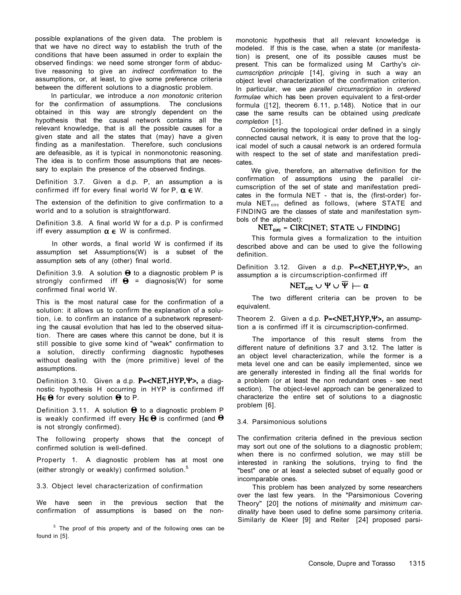possible explanations of the given data. The problem is that we have no direct way to establish the truth of the conditions that have been assumed in order to explain the observed findings: we need some stronger form of abductive reasoning to give an *indirect confirmation* to the assumptions, or, at least, to give some preference criteria between the different solutions to a diagnostic problem.

Definition 3.7. Given a d.p. P, an assumption a is confirmed iff for every final world W for P,  $\alpha \in W$ .

In particular, we introduce a *non monotonic* criterion for the confirmation of assumptions. The conclusions obtained in this way are strongly dependent on the hypothesis that the causal network contains all the relevant knowledge, that is all the possible causes for a given state and all the states that (may) have a given finding as a manifestation. Therefore, such conclusions are defeasible, as it is typical in nonmonotonic reasoning. The idea is to confirm those assumptions that are necessary to explain the presence of the observed findings.

Definition 3.9. A solution  $\Theta$  to a diagnostic problem P is strongly confirmed iff  $\Theta$  = diagnosis(W) for some confirmed final world W.

The extension of the definition to give confirmation to a world and to a solution is straightforward.

Definition 3.11. A solution  $\Theta$  to a diagnostic problem P is weakly confirmed iff every  $H \in \Theta$  is confirmed (and  $\Theta$ is not strongly confirmed).

Property 1. A diagnostic problem has at most one (either strongly or weakly) confirmed solution.<sup>5</sup>

Definition 3.8. A final world W for a d.p. P is confirmed

In other words, a final world W is confirmed if its assumption set Assumptions(W) is a subset of the assumption sets of any (other) final world.

 $5$  The proof of this property and of the following ones can be found in [5].

This is the most natural case for the confirmation of a solution: it allows us to confirm the explanation of a solution, i.e. to confirm an instance of a subnetwork representing the causal evolution that has led to the observed situation. There are cases where this cannot be done, but it is still possible to give some kind of "weak" confirmation to a solution, directly confirming diagnostic hypotheses without dealing with the (more primitive) level of the assumptions.

Definition 3.10. Given a d.p.  $P = \langle NET, HYP, \Psi \rangle$ , a diagnostic hypothesis H occurring in HYP is confirmed iff  $H \in \Theta$  for every solution  $\Theta$  to P.

Definition 3.12. Given a d.p.  $P = \langle NET, HYP, \Psi \rangle$ , an assumption a is circumscription-confirmed iff

 $NET_{\text{circ}} \cup \Psi \cup \Psi \vdash \alpha$ 

Theorem 2. Given a d.p.  $P = \langle NET, HYP, \Psi \rangle$ , an assumption a is confirmed iff it is circumscription-confirmed.

The following property shows that the concept of confirmed solution is well-defined.

# $NET<sub>circ</sub> = CIRC[NET; STATE \cup FINDING]$

3.3. Object level characterization of confirmation

We have seen in the previous section that the confirmation of assumptions is based on the non-

monotonic hypothesis that all relevant knowledge is modeled. If this is the case, when a state (or manifestation) is present, one of its possible causes must be present. This can be formalized using M Carthy's *circumscription principle* [14], giving in such a way an object level characterization of the confirmation criterion. In particular, we use *parallel circumscription* in *ordered formulae* which has been proven equivalent to a first-order formula ([12], theorem 6.11, p.148). Notice that in our case the same results can be obtained using *predicate completion* [1].

Considering the topological order defined in a singly connected causal network, it is easy to prove that the logical model of such a causal network is an ordered formula with respect to the set of state and manifestation predicates.

We give, therefore, an alternative definition for the confirmation of assumptions using the parallel circumscription of the set of state and manifestation predicates in the formula NET - that is, the (first-order) formula  $NET<sub>circ</sub>$  defined as follows, (where STATE and FINDING are the classes of state and manifestation symbols of the alphabet):

iff every assumption  $\alpha \in W$  is confirmed.

This formula gives a formalization to the intuition described above and can be used to give the following definition.

The two different criteria can be proven to be equivalent.

The importance of this result stems from the different nature of definitions 3.7 and 3.12. The latter is an object level characterization, while the former is a meta level one and can be easily implemented, since we are generally interested in finding all the final worlds for a problem (or at least the non redundant ones - see next section). The object-level approach can be generalized to characterize the entire set of solutions to a diagnostic problem [6].

# 3.4. Parsimonious solutions

The confirmation criteria defined in the previous section may sort out one of the solutions to a diagnostic problem; when there is no confirmed solution, we may still be interested in ranking the solutions, trying to find the "best" one or at least a selected subset of equally good or incomparable ones.

This problem has been analyzed by some researchers over the last few years. In the "Parsimonious Covering Theory" [20] the notions of *minimality* and *minimum cardinality* have been used to define some parsimony criteria. Similarly de Kleer [9] and Reiter [24] proposed parsi-

Console, Dupre and Torasso 1315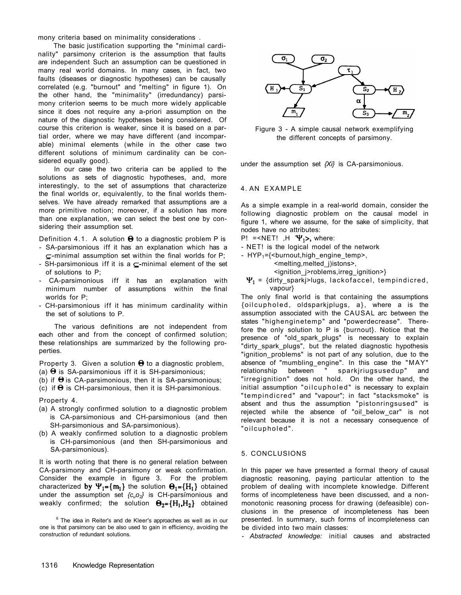mony criteria based on minimality considerations .

The basic justification supporting the "minimal cardinality" parsimony criterion is the assumption that faults are independent Such an assumption can be questioned in many real world domains. In many cases, in fact, two faults (diseases or diagnostic hypotheses) can be causally correlated (e.g. "burnout" and "melting" in figure 1). On the other hand, the "minimality" (irredundancy) parsimony criterion seems to be much more widely applicable since it does not require any a-priori assumption on the nature of the diagnostic hypotheses being considered. Of course this criterion is weaker, since it is based on a partial order, where we may have different (and incomparable) minimal elements (while in the other case two different solutions of minimum cardinality can be considered equally good).

In our case the two criteria can be applied to the solutions as sets of diagnostic hypotheses, and, more interestingly, to the set of assumptions that characterize the final worlds or, equivalently, to the final worlds themselves. We have already remarked that assumptions are a more primitive notion; moreover, if a solution has more than one explanation, we can select the best one by considering their assumption set.



 $^6$  The idea in Reiter's and de Kleer's approaches as well as in our one is that parsimony can be also used to gain in efficiency, avoiding the construction of redundant solutions.

- SA-parsimonious iff it has an explanation which has a  $\subset$ -minimal assumption set within the final worlds for P;
- SH-parsimonious iff it is a  $\subseteq$ -minimal element of the set of solutions to P;
- CA-parsimonious iff it has an explanation with minimum number of assumptions within the final worlds for P;
- CH-parsimonious iff it has minimum cardinality within the set of solutions to P.
- $P!$  =<NET! ,H  $\Psi_1$ >, where:
- NET! is the logical model of the network
- $HYP_1 = \{\text{&burnout,high\_engine\_temp}\}$ , <melting,melted\_j)istons>, <ignition\_j>roblems,irreg\_ignition>}
	- $\Psi_1$  = {dirty sparkj>lugs, lackofaccel, tempindicred, vapour}

The various definitions are not independent from each other and from the concept of confirmed solution; these relationships are summarized by the following properties.

Property 3. Given a solution  $\Theta$  to a diagnostic problem, (a)  $\Theta$  is SA-parsimonious iff it is SH-parsimonious;

- (b) if  $\Theta$  is CA-parsimonious, then it is SA-parsimonious;
- (c) if  $\Theta$  is CH-parsimonious, then it is SH-parsimonious.

Property 4.

- (a) A strongly confirmed solution to a diagnostic problem is CA-parsimonious and CH-parsimonious (and then SH-parsimonious and SA-parsimonious).
- (b) A weakly confirmed solution to a diagnostic problem is CH-parsimonious (and then SH-parsimonious and SA-parsimonious).

1316 Knowledge Representation

Figure 3 - A simple causal network exemplifying the different concepts of parsimony.

under the assumption set *{Xi}* is CA-parsimonious.

#### 4. AN EXAMPLE

As a simple example in a real-world domain, consider the following diagnostic problem on the causal model in figure 1, where we assume, for the sake of simplicity, that

Definition 4.1. A solution  $\Theta$  to a diagnostic problem P is

nodes have no attributes:

The only final world is that containing the assumptions {oilcupholed, oldsparkjplugs, a}, where a is the assumption associated with the CAUSAL arc between the states "highenginetemp" and "powerdecrease". Therefore the only solution to P is {burnout}. Notice that the presence of "old\_spark\_plugs" is necessary to explain "dirty\_spark\_plugs", but the related diagnostic hypothesis "ignition problems" is not part of any solution, due to the absence of "mumbling\_engine". In this case the "MAY" relationship between " sparkjriugsusedup" and "irregignition" does not hold. On the other hand, the initial assumption "oilcupholed" is necessary to explain "tempindicred" and "vapour"; in fact "stacksmoke" is absent and thus the assumption "pistonringsused" is rejected while the absence of "oil\_below\_car" is not relevant because it is not a necessary consequence of "oilcupholed".

It is worth noting that there is no general relation between CA-parsimony and CH-parsimony or weak confirmation. Consider the example in figure 3. For the problem characterized by  $\Psi_1 = \{m_1\}$  the solution  $\Theta_1 = \{H_1\}$  obtained under the assumption set *{cuo2}* is CH-parsimonious and weakly confirmed; the solution  $\Theta_2 = \{H_1, H_2\}$  obtained

#### 5. CONCLUSIONS

In this paper we have presented a formal theory of causal diagnostic reasoning, paying particular attention to the problem of dealing with incomplete knowledge. Different forms of incompleteness have been discussed, and a nonmonotonic reasoning process for drawing (defeasible) conclusions in the presence of incompleteness has been presented. In summary, such forms of incompleteness can be divided into two main classes:

- *Abstracted knowledge:* initial causes and abstracted